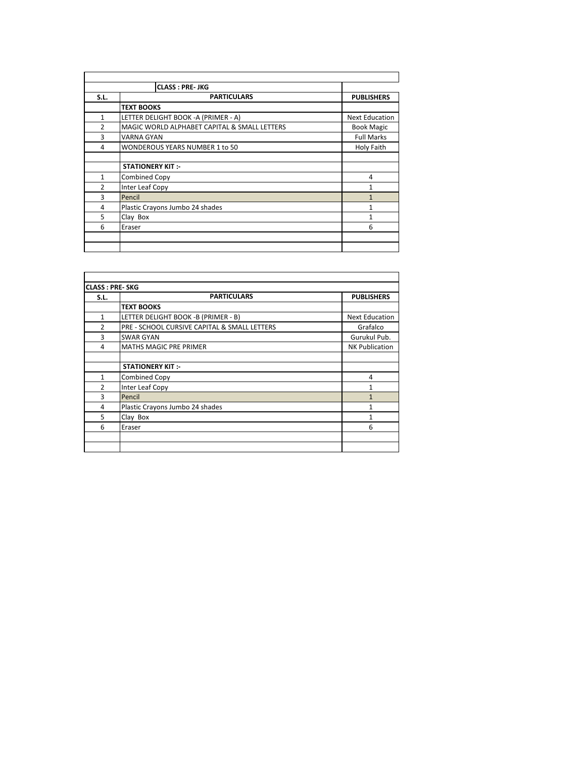|                | <b>CLASS: PRE-JKG</b>                        |                       |
|----------------|----------------------------------------------|-----------------------|
| S.L.           | <b>PARTICULARS</b>                           | <b>PUBLISHERS</b>     |
|                | <b>TEXT BOOKS</b>                            |                       |
| $\mathbf{1}$   | LETTER DELIGHT BOOK - A (PRIMER - A)         | <b>Next Education</b> |
| $\overline{2}$ | MAGIC WORLD ALPHABET CAPITAL & SMALL LETTERS | <b>Book Magic</b>     |
| 3              | <b>VARNA GYAN</b>                            | <b>Full Marks</b>     |
| 4              | WONDEROUS YEARS NUMBER 1 to 50               | Holy Faith            |
|                | <b>STATIONERY KIT :-</b>                     |                       |
| 1              | Combined Copy                                | 4                     |
| $\overline{2}$ | <b>Inter Leaf Copy</b>                       |                       |
| 3              | Pencil                                       |                       |
| 4              | Plastic Crayons Jumbo 24 shades              | 1                     |
| 5              | Clay Box                                     | 1                     |
| 6              | Eraser                                       | 6                     |
|                |                                              |                       |

| S.L.           | <b>PARTICULARS</b>                           | <b>PUBLISHERS</b>     |
|----------------|----------------------------------------------|-----------------------|
|                | <b>TEXT BOOKS</b>                            |                       |
| $\mathbf{1}$   | LETTER DELIGHT BOOK -B (PRIMER - B)          | <b>Next Education</b> |
| $\overline{2}$ | PRE - SCHOOL CURSIVE CAPITAL & SMALL LETTERS | Grafalco              |
| 3              | <b>SWAR GYAN</b>                             | Gurukul Pub.          |
| 4              | <b>MATHS MAGIC PRE PRIMER</b>                | <b>NK Publication</b> |
|                |                                              |                       |
|                | <b>STATIONERY KIT:-</b>                      |                       |
| $\mathbf{1}$   | <b>Combined Copy</b>                         | 4                     |
| $\overline{2}$ | <b>Inter Leaf Copy</b>                       | 1                     |
| 3              | Pencil                                       | 1                     |
| 4              | Plastic Crayons Jumbo 24 shades              | 1                     |
| 5              | Clay Box                                     | 1                     |
| 6              | Eraser                                       | 6                     |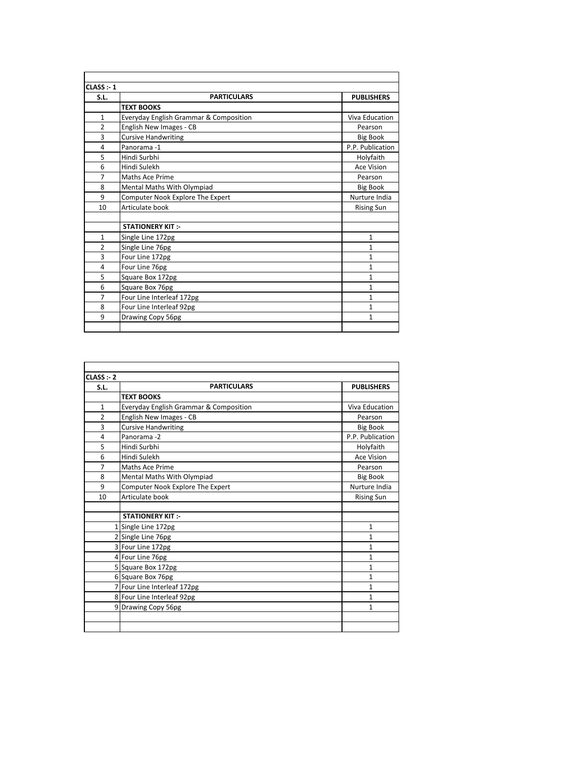| CLASS : 1      |                                        |                   |
|----------------|----------------------------------------|-------------------|
| S.L.           | <b>PARTICULARS</b>                     | <b>PUBLISHERS</b> |
|                | <b>TEXT BOOKS</b>                      |                   |
| $\mathbf{1}$   | Everyday English Grammar & Composition | Viva Education    |
| $\overline{2}$ | English New Images - CB                | Pearson           |
| 3              | <b>Cursive Handwriting</b>             | <b>Big Book</b>   |
| 4              | Panorama-1                             | P.P. Publication  |
| 5              | Hindi Surbhi                           | Holyfaith         |
| 6              | Hindi Sulekh                           | <b>Ace Vision</b> |
| $\overline{7}$ | Maths Ace Prime                        | Pearson           |
| 8              | Mental Maths With Olympiad             | <b>Big Book</b>   |
| 9              | Computer Nook Explore The Expert       | Nurture India     |
| 10             | Articulate book                        | <b>Rising Sun</b> |
|                |                                        |                   |
|                | <b>STATIONERY KIT:-</b>                |                   |
| $\mathbf{1}$   | Single Line 172pg                      | 1                 |
| $\overline{2}$ | Single Line 76pg                       | 1                 |
| 3              | Four Line 172pg                        | 1                 |
| 4              | Four Line 76pg                         | 1                 |
| 5              | Square Box 172pg                       | $\mathbf{1}$      |
| 6              | Square Box 76pg                        | $\mathbf{1}$      |
| $\overline{7}$ | Four Line Interleaf 172pg              | $\mathbf{1}$      |
| 8              | Four Line Interleaf 92pg               | 1                 |
| 9              | Drawing Copy 56pg                      | 1                 |
|                |                                        |                   |

| CLASS : 2      |                                        |                   |
|----------------|----------------------------------------|-------------------|
| S.L.           | <b>PARTICULARS</b>                     | <b>PUBLISHERS</b> |
|                | <b>TEXT BOOKS</b>                      |                   |
| $\mathbf{1}$   | Everyday English Grammar & Composition | Viva Education    |
| $\overline{2}$ | English New Images - CB                | Pearson           |
| 3              | <b>Cursive Handwriting</b>             | <b>Big Book</b>   |
| 4              | Panorama-2                             | P.P. Publication  |
| 5              | Hindi Surbhi                           | Holyfaith         |
| 6              | Hindi Sulekh                           | <b>Ace Vision</b> |
| 7              | Maths Ace Prime                        | Pearson           |
| 8              | Mental Maths With Olympiad             | <b>Big Book</b>   |
| 9              | Computer Nook Explore The Expert       | Nurture India     |
| 10             | Articulate book                        | <b>Rising Sun</b> |
|                |                                        |                   |
|                | <b>STATIONERY KIT:-</b>                |                   |
|                | 1 Single Line 172pg                    | $\mathbf{1}$      |
|                | 2 Single Line 76pg                     | 1                 |
|                | 3 Four Line 172pg                      | $\mathbf{1}$      |
|                | 4 Four Line 76pg                       | 1                 |
|                | 5 Square Box 172pg                     | 1                 |
|                | 6 Square Box 76pg                      | 1                 |
|                | 7 Four Line Interleaf 172pg            | $\mathbf{1}$      |
|                | 8 Four Line Interleaf 92pg             | 1                 |
|                | 9 Drawing Copy 56pg                    | 1                 |
|                |                                        |                   |
|                |                                        |                   |
|                |                                        |                   |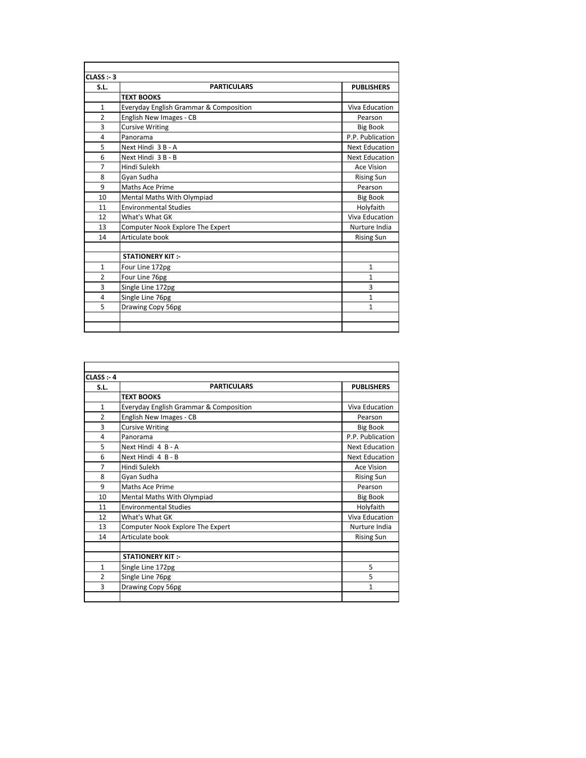| CLASS : 3      |                                        |                       |
|----------------|----------------------------------------|-----------------------|
| S.L.           | <b>PARTICULARS</b>                     | <b>PUBLISHERS</b>     |
|                | <b>TEXT BOOKS</b>                      |                       |
| $\mathbf{1}$   | Everyday English Grammar & Composition | Viva Education        |
| $\overline{2}$ | English New Images - CB                | Pearson               |
| 3              | <b>Cursive Writing</b>                 | <b>Big Book</b>       |
| 4              | Panorama                               | P.P. Publication      |
| 5              | Next Hindi 3 B - A                     | <b>Next Education</b> |
| 6              | Next Hindi 3 B - B                     | <b>Next Education</b> |
| $\overline{7}$ | Hindi Sulekh                           | <b>Ace Vision</b>     |
| 8              | Gyan Sudha                             | <b>Rising Sun</b>     |
| 9              | Maths Ace Prime                        | Pearson               |
| 10             | Mental Maths With Olympiad             | <b>Big Book</b>       |
| 11             | <b>Environmental Studies</b>           | Holyfaith             |
| 12             | What's What GK                         | Viva Education        |
| 13             | Computer Nook Explore The Expert       | Nurture India         |
| 14             | Articulate book                        | <b>Rising Sun</b>     |
|                | <b>STATIONERY KIT:-</b>                |                       |
| $\mathbf{1}$   | Four Line 172pg                        | $\mathbf{1}$          |
| $\overline{2}$ | Four Line 76pg                         | 1                     |
| 3              | Single Line 172pg                      | 3                     |
| 4              | Single Line 76pg                       | $\mathbf{1}$          |
| 5              | Drawing Copy 56pg                      | 1                     |
|                |                                        |                       |
|                |                                        |                       |

| CLASS : 4      |                                        |                       |
|----------------|----------------------------------------|-----------------------|
| S.L.           | <b>PARTICULARS</b>                     | <b>PUBLISHERS</b>     |
|                | <b>TEXT BOOKS</b>                      |                       |
| $\mathbf{1}$   | Everyday English Grammar & Composition | Viva Education        |
| $\overline{2}$ | English New Images - CB                | Pearson               |
| 3              | <b>Cursive Writing</b>                 | <b>Big Book</b>       |
| 4              | Panorama                               | P.P. Publication      |
| 5              | Next Hindi 4 B - A                     | <b>Next Education</b> |
| 6              | Next Hindi 4 B - B                     | <b>Next Education</b> |
| $\overline{7}$ | Hindi Sulekh                           | <b>Ace Vision</b>     |
| 8              | Gyan Sudha                             | <b>Rising Sun</b>     |
| 9              | Maths Ace Prime                        | Pearson               |
| 10             | Mental Maths With Olympiad             | <b>Big Book</b>       |
| 11             | <b>Environmental Studies</b>           | Holyfaith             |
| 12             | What's What GK                         | Viva Education        |
| 13             | Computer Nook Explore The Expert       | Nurture India         |
| 14             | Articulate book                        | <b>Rising Sun</b>     |
|                |                                        |                       |
|                | <b>STATIONERY KIT:</b>                 |                       |
| $\mathbf{1}$   | Single Line 172pg                      | 5                     |
| $\overline{2}$ | Single Line 76pg                       | 5                     |
| 3              | Drawing Copy 56pg                      | $\mathbf{1}$          |
|                |                                        |                       |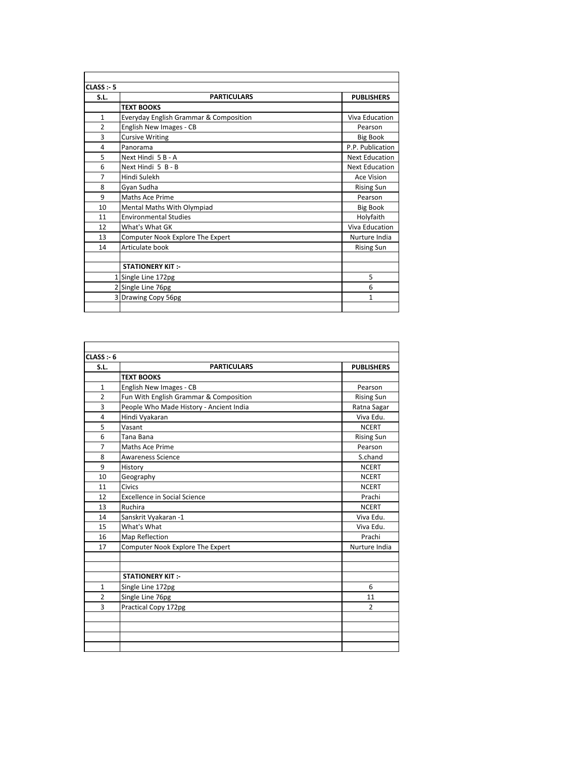| CLASS : 5      |                                                   |                       |
|----------------|---------------------------------------------------|-----------------------|
| S.L.           | <b>PARTICULARS</b>                                | <b>PUBLISHERS</b>     |
|                | <b>TEXT BOOKS</b>                                 |                       |
| $\mathbf{1}$   | <b>Everyday English Grammar &amp; Composition</b> | Viva Education        |
| $\overline{2}$ | English New Images - CB                           | Pearson               |
| 3              | <b>Cursive Writing</b>                            | <b>Big Book</b>       |
| 4              | Panorama                                          | P.P. Publication      |
| 5              | Next Hindi 5 B - A                                | <b>Next Education</b> |
| 6              | Next Hindi 5 B - B                                | <b>Next Education</b> |
| $\overline{7}$ | Hindi Sulekh                                      | <b>Ace Vision</b>     |
| 8              | Gyan Sudha                                        | <b>Rising Sun</b>     |
| 9              | Maths Ace Prime                                   | Pearson               |
| 10             | Mental Maths With Olympiad                        | <b>Big Book</b>       |
| 11             | <b>Environmental Studies</b>                      | Holyfaith             |
| 12             | What's What GK                                    | Viva Education        |
| 13             | Computer Nook Explore The Expert                  | Nurture India         |
| 14             | Articulate book                                   | <b>Rising Sun</b>     |
|                |                                                   |                       |
|                | <b>STATIONERY KIT:-</b>                           |                       |
|                | Single Line 172pg                                 | 5                     |
|                | 2 Single Line 76pg                                | 6                     |
|                | 3 Drawing Copy 56pg                               | $\mathbf{1}$          |
|                |                                                   |                       |
|                |                                                   |                       |

| CLASS: 6       |                                         |                   |
|----------------|-----------------------------------------|-------------------|
| S.L.           | <b>PARTICULARS</b>                      | <b>PUBLISHERS</b> |
|                | <b>TEXT BOOKS</b>                       |                   |
| 1              | English New Images - CB                 | Pearson           |
| $\overline{2}$ | Fun With English Grammar & Composition  | <b>Rising Sun</b> |
| 3              | People Who Made History - Ancient India | Ratna Sagar       |
| 4              | Hindi Vyakaran                          | Viva Edu.         |
| 5              | Vasant                                  | <b>NCERT</b>      |
| 6              | Tana Bana                               | <b>Rising Sun</b> |
| 7              | Maths Ace Prime                         | Pearson           |
| 8              | <b>Awareness Science</b>                | S.chand           |
| 9              | History                                 | <b>NCERT</b>      |
| 10             | Geography                               | <b>NCERT</b>      |
| 11             | Civics                                  | <b>NCERT</b>      |
| 12             | <b>Excellence in Social Science</b>     | Prachi            |
| 13             | Ruchira                                 | <b>NCERT</b>      |
| 14             | Sanskrit Vyakaran -1                    | Viva Edu.         |
| 15             | What's What                             | Viva Edu.         |
| 16             | Map Reflection                          | Prachi            |
| 17             | Computer Nook Explore The Expert        | Nurture India     |
|                |                                         |                   |
|                | <b>STATIONERY KIT:-</b>                 |                   |
| 1              | Single Line 172pg                       | 6                 |
| $\overline{2}$ | Single Line 76pg                        | 11                |
| 3              | Practical Copy 172pg                    | $\overline{2}$    |
|                |                                         |                   |
|                |                                         |                   |
|                |                                         |                   |
|                |                                         |                   |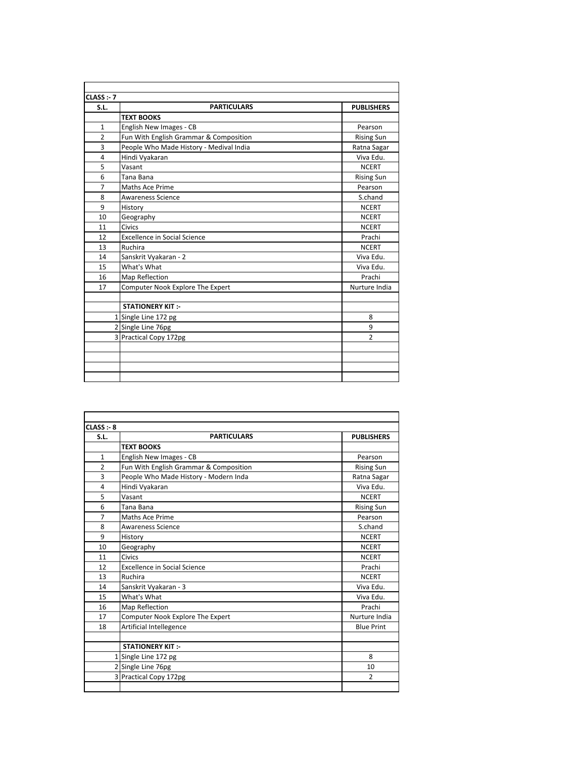| <b>PARTICULARS</b><br>S.L.<br><b>TEXT BOOKS</b><br>English New Images - CB<br>1<br>Fun With English Grammar & Composition<br>$\overline{2}$<br>3<br>People Who Made History - Medival India<br>4<br>Hindi Vyakaran<br>5<br>Vasant<br>6<br>Tana Bana<br>$\overline{7}$<br>Maths Ace Prime<br>8<br><b>Awareness Science</b><br>9<br>History | <b>PUBLISHERS</b><br>Pearson<br><b>Rising Sun</b><br>Ratna Sagar<br>Viva Edu.<br><b>NCERT</b><br><b>Rising Sun</b><br>Pearson<br>S.chand |
|-------------------------------------------------------------------------------------------------------------------------------------------------------------------------------------------------------------------------------------------------------------------------------------------------------------------------------------------|------------------------------------------------------------------------------------------------------------------------------------------|
|                                                                                                                                                                                                                                                                                                                                           |                                                                                                                                          |
|                                                                                                                                                                                                                                                                                                                                           |                                                                                                                                          |
|                                                                                                                                                                                                                                                                                                                                           |                                                                                                                                          |
|                                                                                                                                                                                                                                                                                                                                           |                                                                                                                                          |
|                                                                                                                                                                                                                                                                                                                                           |                                                                                                                                          |
|                                                                                                                                                                                                                                                                                                                                           |                                                                                                                                          |
|                                                                                                                                                                                                                                                                                                                                           |                                                                                                                                          |
|                                                                                                                                                                                                                                                                                                                                           |                                                                                                                                          |
|                                                                                                                                                                                                                                                                                                                                           |                                                                                                                                          |
|                                                                                                                                                                                                                                                                                                                                           |                                                                                                                                          |
|                                                                                                                                                                                                                                                                                                                                           | <b>NCERT</b>                                                                                                                             |
| Geography<br>10                                                                                                                                                                                                                                                                                                                           | <b>NCERT</b>                                                                                                                             |
| Civics<br>11                                                                                                                                                                                                                                                                                                                              | <b>NCERT</b>                                                                                                                             |
| <b>Excellence in Social Science</b><br>12                                                                                                                                                                                                                                                                                                 | Prachi                                                                                                                                   |
| Ruchira<br>13                                                                                                                                                                                                                                                                                                                             | <b>NCERT</b>                                                                                                                             |
| Sanskrit Vyakaran - 2<br>14                                                                                                                                                                                                                                                                                                               | Viva Edu.                                                                                                                                |
| What's What<br>15                                                                                                                                                                                                                                                                                                                         | Viva Edu.                                                                                                                                |
| Map Reflection<br>16                                                                                                                                                                                                                                                                                                                      | Prachi                                                                                                                                   |
| Computer Nook Explore The Expert<br>17                                                                                                                                                                                                                                                                                                    | Nurture India                                                                                                                            |
| <b>STATIONERY KIT:-</b>                                                                                                                                                                                                                                                                                                                   |                                                                                                                                          |
| 1 Single Line 172 pg                                                                                                                                                                                                                                                                                                                      | 8                                                                                                                                        |
| 2 Single Line 76pg                                                                                                                                                                                                                                                                                                                        | 9                                                                                                                                        |
| 3 Practical Copy 172pg                                                                                                                                                                                                                                                                                                                    | $\mathfrak{p}$                                                                                                                           |
|                                                                                                                                                                                                                                                                                                                                           |                                                                                                                                          |
|                                                                                                                                                                                                                                                                                                                                           |                                                                                                                                          |
|                                                                                                                                                                                                                                                                                                                                           |                                                                                                                                          |

| CLASS : 8      |                                        |                   |
|----------------|----------------------------------------|-------------------|
| S.L.           | <b>PARTICULARS</b>                     | <b>PUBLISHERS</b> |
|                | <b>TEXT BOOKS</b>                      |                   |
| $\mathbf{1}$   | English New Images - CB                | Pearson           |
| $\overline{2}$ | Fun With English Grammar & Composition | <b>Rising Sun</b> |
| 3              | People Who Made History - Modern Inda  | Ratna Sagar       |
| 4              | Hindi Vyakaran                         | Viva Edu.         |
| 5              | Vasant                                 | <b>NCERT</b>      |
| 6              | Tana Bana                              | <b>Rising Sun</b> |
| $\overline{7}$ | Maths Ace Prime                        | Pearson           |
| 8              | <b>Awareness Science</b>               | S.chand           |
| 9              | History                                | <b>NCERT</b>      |
| 10             | Geography                              | <b>NCERT</b>      |
| 11             | Civics                                 | <b>NCERT</b>      |
| 12             | <b>Excellence in Social Science</b>    | Prachi            |
| 13             | Ruchira                                | <b>NCERT</b>      |
| 14             | Sanskrit Vyakaran - 3                  | Viva Edu.         |
| 15             | What's What                            | Viva Edu.         |
| 16             | Map Reflection                         | Prachi            |
| 17             | Computer Nook Explore The Expert       | Nurture India     |
| 18             | Artificial Intellegence                | <b>Blue Print</b> |
|                |                                        |                   |
|                | <b>STATIONERY KIT:-</b>                |                   |
|                | 1 Single Line 172 pg                   | 8                 |
|                | 2 Single Line 76pg                     | 10                |
|                | 3 Practical Copy 172pg                 | $\overline{2}$    |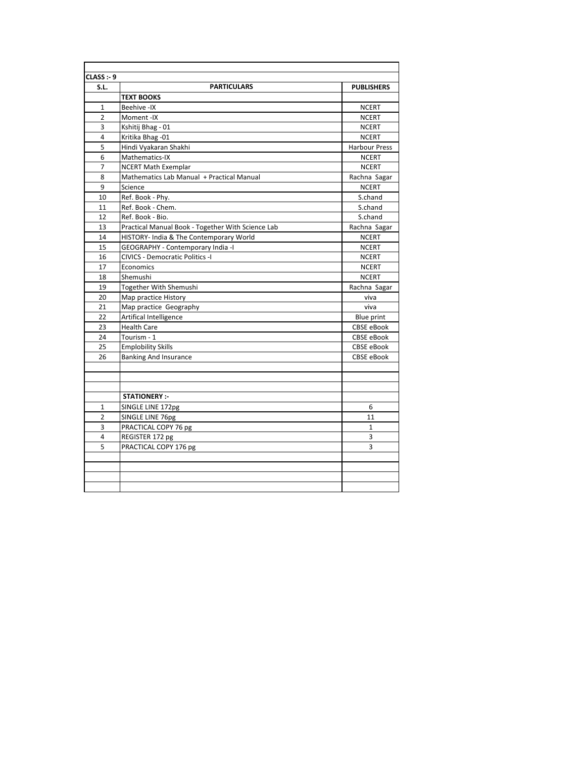| S.L.           | <b>PARTICULARS</b>                                | <b>PUBLISHERS</b>    |
|----------------|---------------------------------------------------|----------------------|
|                | <b>TEXT BOOKS</b>                                 |                      |
| $\mathbf{1}$   | Beehive -IX                                       | <b>NCERT</b>         |
| $\overline{2}$ | Moment-IX                                         | <b>NCERT</b>         |
| 3              | Kshitij Bhag - 01                                 | <b>NCERT</b>         |
| 4              | Kritika Bhag - 01                                 | <b>NCERT</b>         |
| 5              | Hindi Vyakaran Shakhi                             | <b>Harbour Press</b> |
| 6              | Mathematics-IX                                    | <b>NCERT</b>         |
| $\overline{7}$ | <b>NCERT Math Exemplar</b>                        | <b>NCERT</b>         |
| 8              | Mathematics Lab Manual + Practical Manual         | Rachna Sagar         |
| 9              | Science                                           | <b>NCERT</b>         |
| 10             | Ref. Book - Phy.                                  | S.chand              |
| 11             | Ref. Book - Chem.                                 | S.chand              |
| 12             | Ref. Book - Bio.                                  | S.chand              |
| 13             | Practical Manual Book - Together With Science Lab | Rachna Sagar         |
| 14             | HISTORY- India & The Contemporary World           | <b>NCERT</b>         |
| 15             | GEOGRAPHY - Contemporary India -I                 | <b>NCERT</b>         |
| 16             | CIVICS - Democratic Politics -I                   | <b>NCERT</b>         |
| 17             | Economics                                         | <b>NCERT</b>         |
| 18             | Shemushi                                          | <b>NCERT</b>         |
| 19             | Together With Shemushi                            | Rachna Sagar         |
| 20             | Map practice History                              | viva                 |
| 21             | Map practice Geography                            | viva                 |
| 22             | Artifical Intelligence                            | Blue print           |
| 23             | <b>Health Care</b>                                | CBSE eBook           |
| 24             | Tourism - 1                                       | CBSE eBook           |
| 25             | <b>Emplobility Skills</b>                         | <b>CBSE eBook</b>    |
| 26             | <b>Banking And Insurance</b>                      | CBSE eBook           |
|                |                                                   |                      |
|                | <b>STATIONERY:-</b>                               |                      |
| 1              | SINGLE LINE 172pg                                 | 6                    |
| $\overline{2}$ | SINGLE LINE 76pg                                  | 11                   |
| 3              | PRACTICAL COPY 76 pg                              | $\mathbf{1}$         |
| 4              | REGISTER 172 pg                                   | 3                    |
| 5              | PRACTICAL COPY 176 pg                             | 3                    |
|                |                                                   |                      |